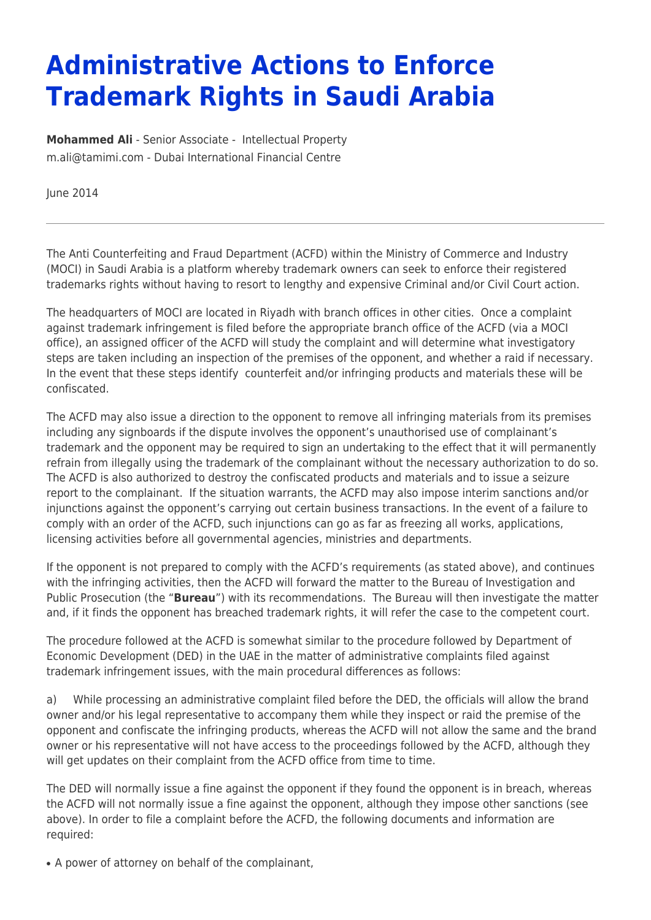## **Administrative Actions to Enforce Trademark Rights in Saudi Arabia**

**[Mohammed Ali](https://www.tamimi.com/find-a-lawyer/muhammad-ali/)** - Senior Associate - [Intellectual Property](https://www.tamimi.com/client-services/practices/intellectual-property/) [m.ali@tamimi.com](mailto:m.ali@tamimi.com) - [Dubai International Financial Centre](https://www.tamimi.com/locations/uae/)

June 2014

The Anti Counterfeiting and Fraud Department (ACFD) within the Ministry of Commerce and Industry (MOCI) in Saudi Arabia is a platform whereby trademark owners can seek to enforce their registered trademarks rights without having to resort to lengthy and expensive Criminal and/or Civil Court action.

The headquarters of MOCI are located in Riyadh with branch offices in other cities. Once a complaint against trademark infringement is filed before the appropriate branch office of the ACFD (via a MOCI office), an assigned officer of the ACFD will study the complaint and will determine what investigatory steps are taken including an inspection of the premises of the opponent, and whether a raid if necessary. In the event that these steps identify counterfeit and/or infringing products and materials these will be confiscated.

The ACFD may also issue a direction to the opponent to remove all infringing materials from its premises including any signboards if the dispute involves the opponent's unauthorised use of complainant's trademark and the opponent may be required to sign an undertaking to the effect that it will permanently refrain from illegally using the trademark of the complainant without the necessary authorization to do so. The ACFD is also authorized to destroy the confiscated products and materials and to issue a seizure report to the complainant. If the situation warrants, the ACFD may also impose interim sanctions and/or injunctions against the opponent's carrying out certain business transactions. In the event of a failure to comply with an order of the ACFD, such injunctions can go as far as freezing all works, applications, licensing activities before all governmental agencies, ministries and departments.

If the opponent is not prepared to comply with the ACFD's requirements (as stated above), and continues with the infringing activities, then the ACFD will forward the matter to the Bureau of Investigation and Public Prosecution (the "**Bureau**") with its recommendations. The Bureau will then investigate the matter and, if it finds the opponent has breached trademark rights, it will refer the case to the competent court.

The procedure followed at the ACFD is somewhat similar to the procedure followed by Department of Economic Development (DED) in the UAE in the matter of administrative complaints filed against trademark infringement issues, with the main procedural differences as follows:

a) While processing an administrative complaint filed before the DED, the officials will allow the brand owner and/or his legal representative to accompany them while they inspect or raid the premise of the opponent and confiscate the infringing products, whereas the ACFD will not allow the same and the brand owner or his representative will not have access to the proceedings followed by the ACFD, although they will get updates on their complaint from the ACFD office from time to time.

The DED will normally issue a fine against the opponent if they found the opponent is in breach, whereas the ACFD will not normally issue a fine against the opponent, although they impose other sanctions (see above). In order to file a complaint before the ACFD, the following documents and information are required:

• A power of attorney on behalf of the complainant,